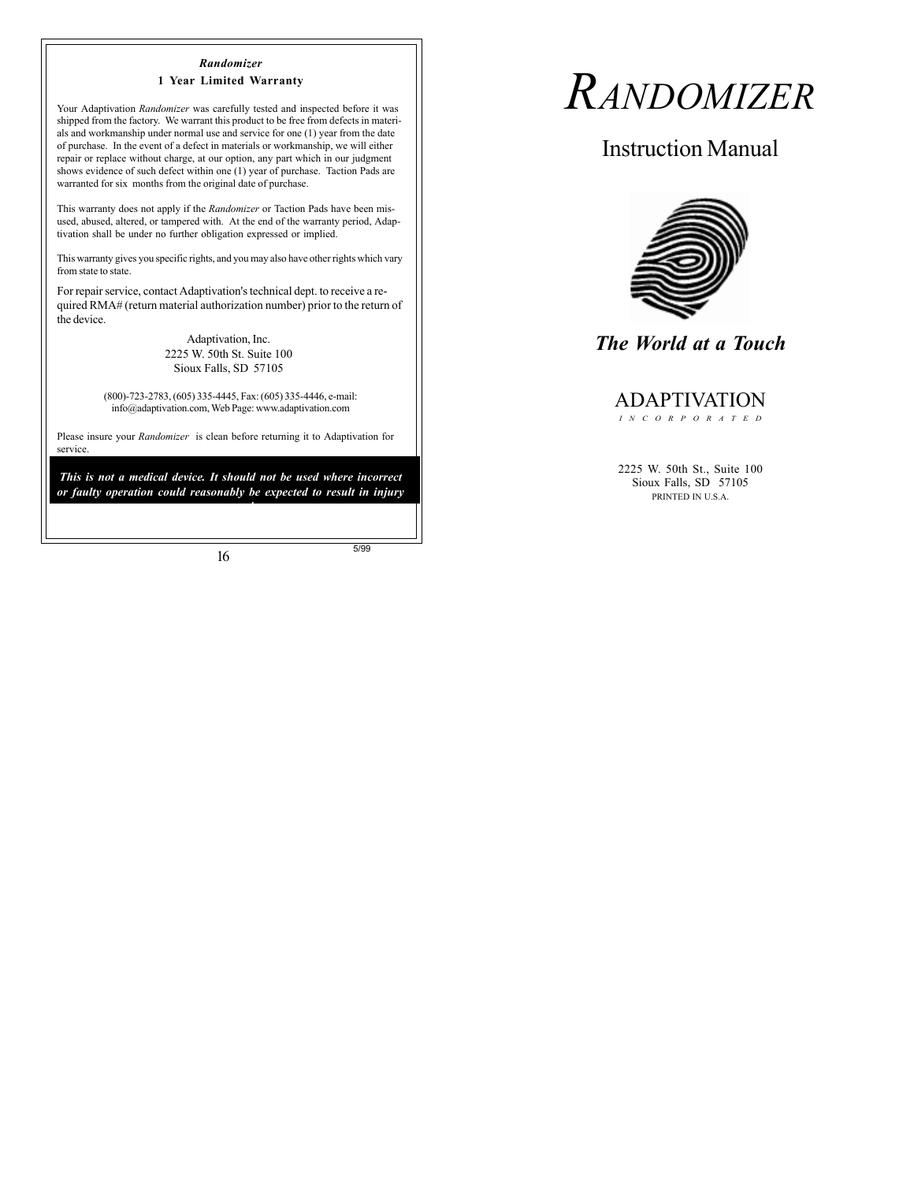#### *Randomizer* **1 Year Limited Warranty**

Your Adaptivation *Randomizer* was carefully tested and inspected before it was shipped from the factory.We warrant this product to be free from defects in materials and workmanship under normal use and service for one (1) year from the date of purchase. In the event of a defect in materials or workmanship, we will either repair or replace without charge, at our option, any part which in our judgment shows evidence of such defect within one (1) year of purchase. Taction Pads are warranted for six months from the original date of purchase.

This warranty does not apply if the *Randomizer* or Taction Pads have been misused, abused, altered, or tampered with. At the end of the warranty period, Adaptivation shall be under no further obligation expressed or implied.

This warranty gives you specific rights, and you may also have other rights which vary from state to state.

For repair service, contact Adaptivation's technical dept. to receive a required RMA# (return material authorization number) prior to the return of the device.

> Adaptivation, Inc. 2225 W. 50th St. Suite 100 Sioux Falls, SD 57105

(800)-723-2783, (605) 335-4445, Fax: (605) 335-4446, e-mail: info@adaptivation.com, Web Page: www.adaptivation.com

Please insure your *Randomizer* is clean before returning it to Adaptivation for service.

*This is not a medical device. It should not be used where incorrect or faulty operation could reasonably be expected to result in injury or worse!*

16

5/99

# *RANDOMIZER*

Instruction Manual



*The World at a Touch*

### ADAPTIVATION

*INCORPORATED*

2225 W. 50th St., Suite 100 Sioux Falls, SD 57105 PRINTED IN U.S.A.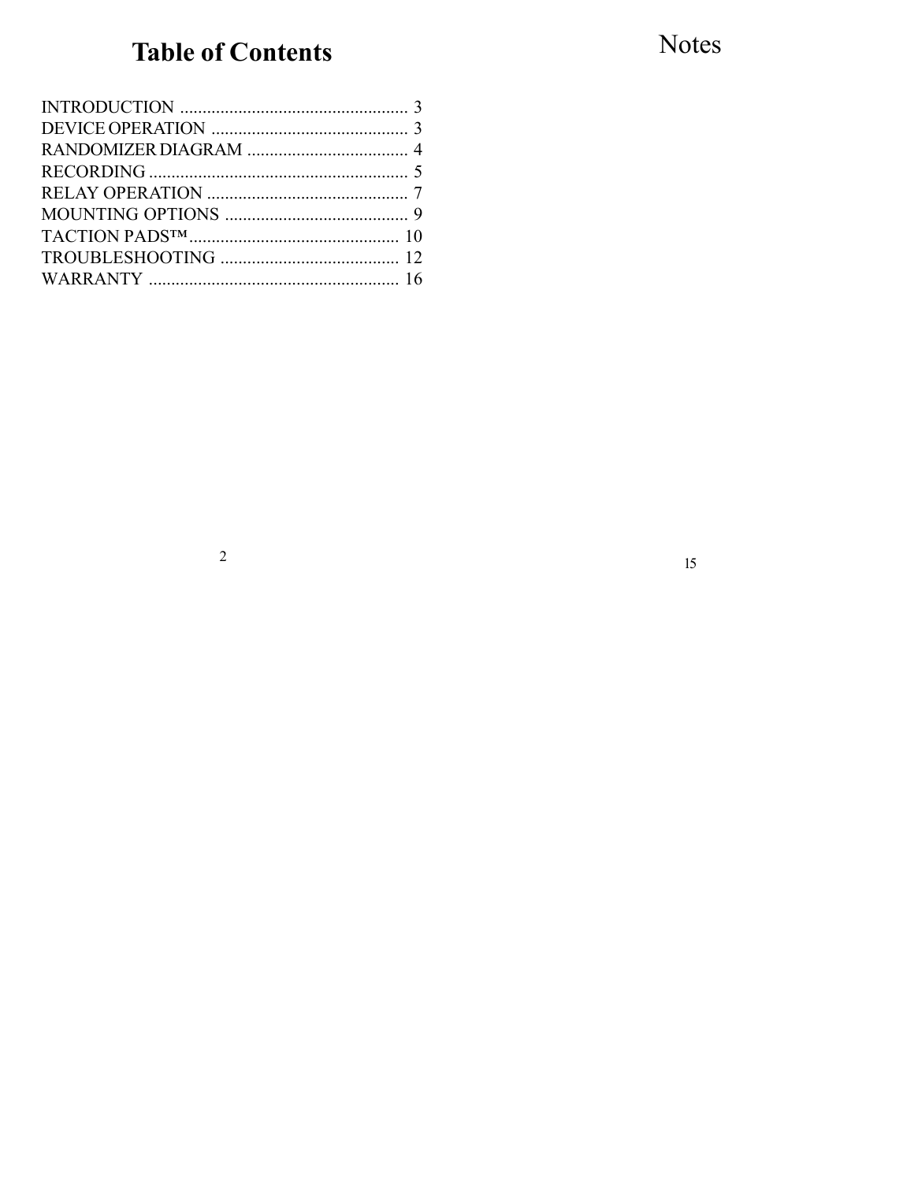# **Table of Contents**

Notes

 $15\,$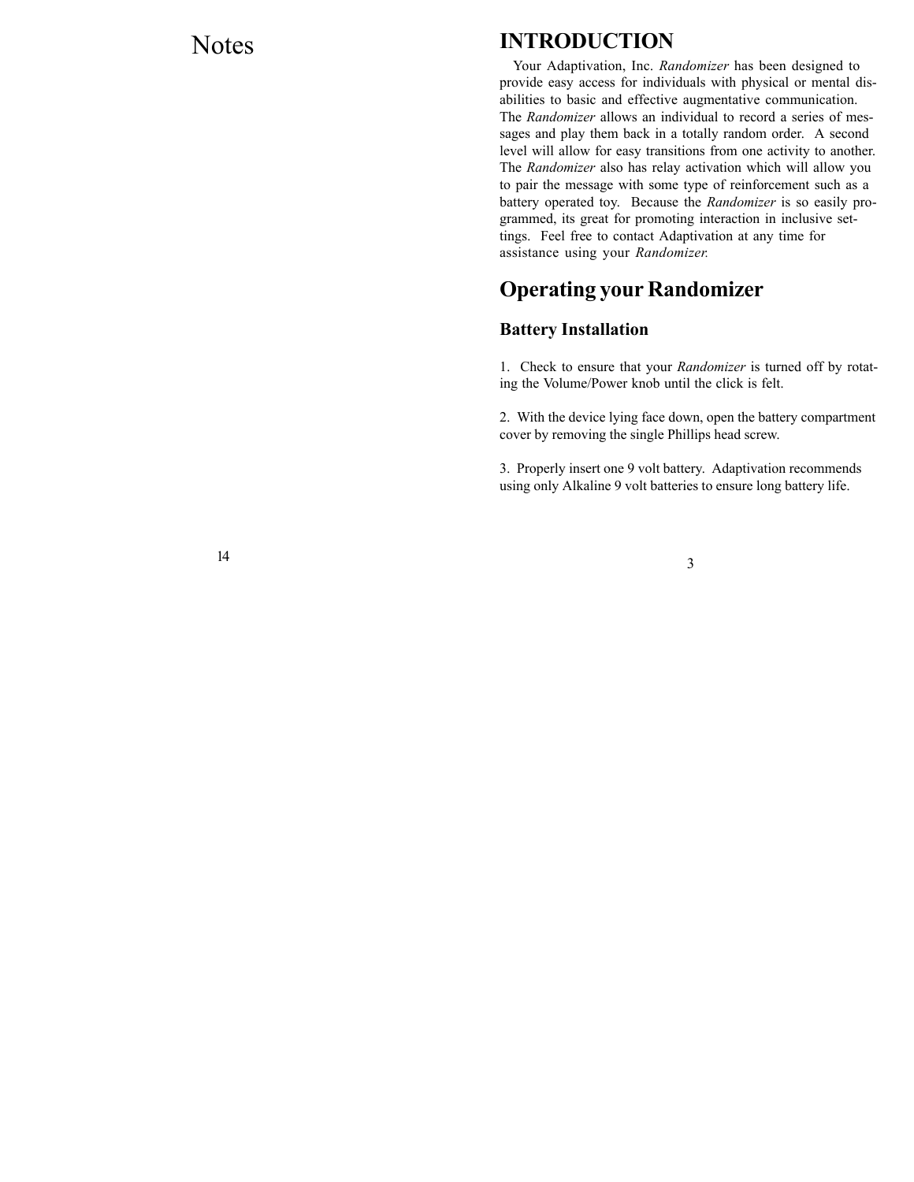### Notes

### **INTRODUCTION**

Your Adaptivation, Inc. *Randomizer* has been designed to provide easy access for individuals with physical or mental disabilities to basic and effective augmentative communication. The *Randomizer* allows an individual to record a series of messages and play them back in a totally random order. A second level will allow for easy transitions from one activity to another. The *Randomizer* also has relay activation which will allow you to pair the message with some type of reinforcement such as a battery operated toy. Because the *Randomizer* is so easily programmed, its great for promoting interaction in inclusive settings. Feel free to contact Adaptivation at any time for assistance using your *Randomizer.*

### **Operating your Randomizer**

### **Battery Installation**

1. Check to ensure that your *Randomizer* is turned off by rotating the Volume/Power knob until the click is felt.

2. With the device lying face down, open the battery compartment cover by removing the single Phillips head screw.

3. Properly insert one 9 volt battery. Adaptivation recommends using only Alkaline 9 volt batteries to ensure long battery life.

14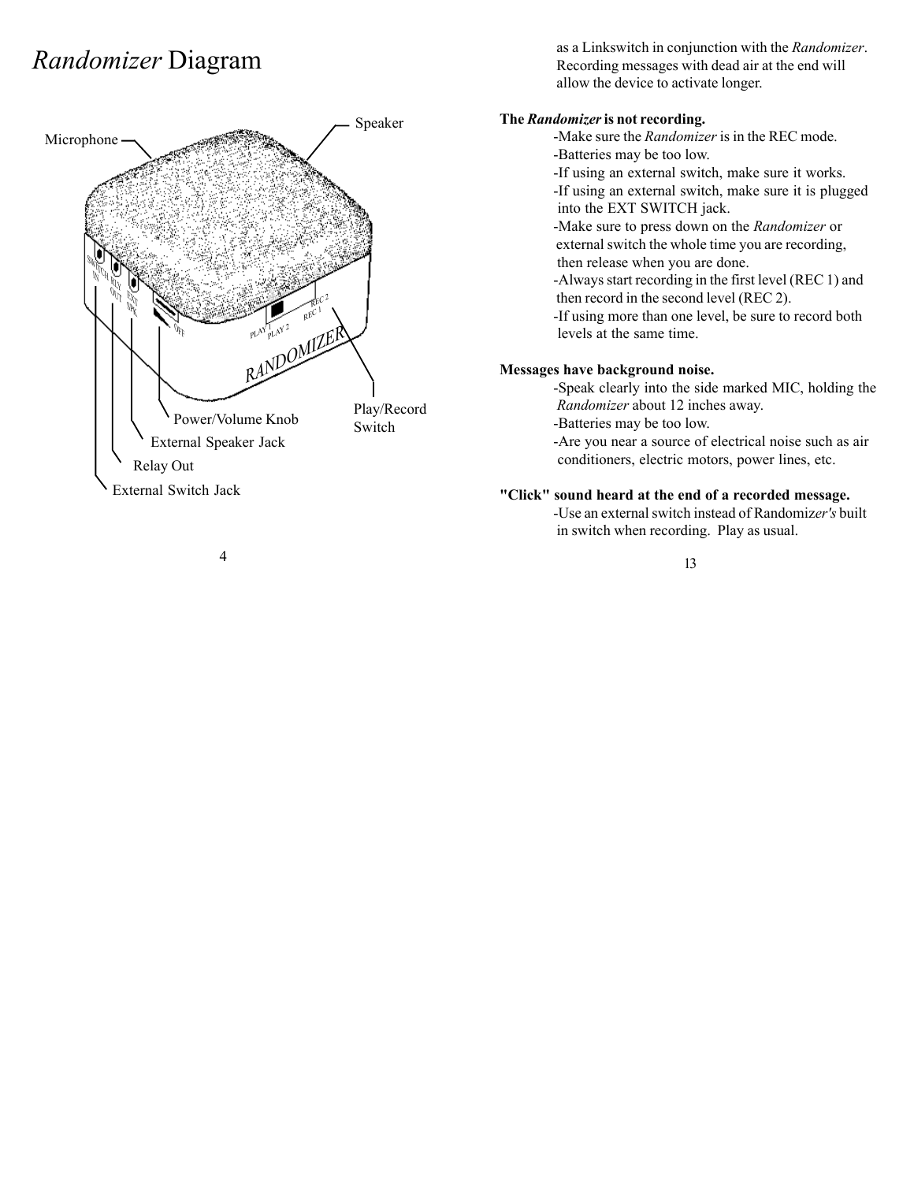## *Randomizer* Diagram



 as a Linkswitch in conjunction with the *Randomizer*. Recording messages with dead air at the end will allow the device to activate longer.

### **The** *Randomizer* **is not recording.**

-Make sure the *Randomizer* is in the REC mode. -Batteries may be too low.

-If using an external switch, make sure it works.

-If using an external switch, make sure it is plugged into the EXT SWITCH jack.

-Make sure to press down on the *Randomizer* or external switch the whole time you are recording, then release when you are done.

-Always start recording in the first level (REC 1) and then record in the second level (REC 2).

-If using more than one level, be sure to record both levels at the same time.

### **Messages have background noise.**

-Speak clearly into the side marked MIC, holding the  *Randomizer* about 12 inches away.

-Batteries may be too low.

-Are you near a source of electrical noise such as air conditioners, electric motors, power lines, etc.

### **"Click" sound heard at the end of a recorded message.**

-Use an external switch instead of Randomiz*er's* built in switch when recording. Play as usual.

13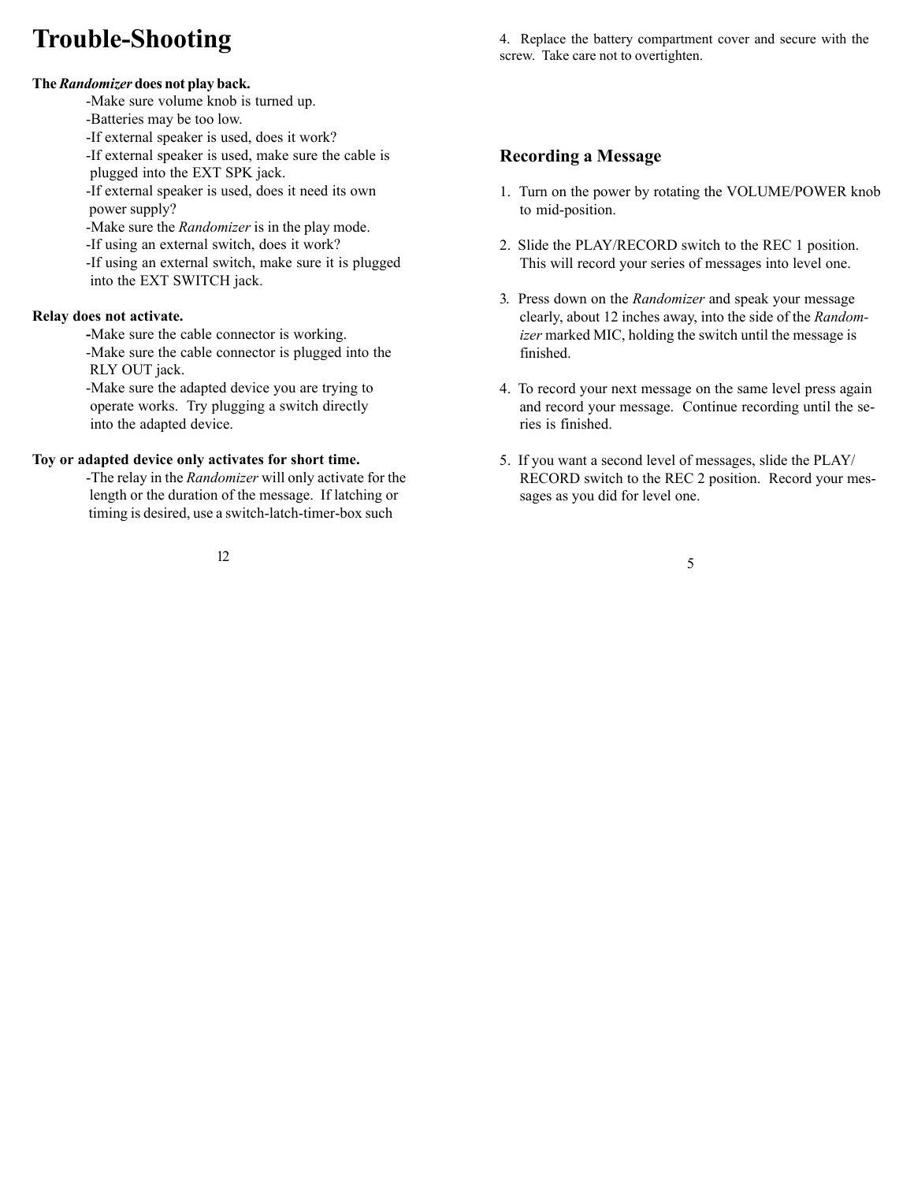# **Trouble-Shooting**

### **The** *Randomizer* **does not play back.**

-Make sure volume knob is turned up.

- -Batteries may be too low.
- -If external speaker is used, does it work?

-If external speaker is used, make sure the cable is plugged into the EXT SPK jack.

-If external speaker is used, does it need its own power supply?

-Make sure the *Randomizer* is in the play mode.

-If using an external switch, does it work?

-If using an external switch, make sure it is plugged into the EXT SWITCH jack.

### **Relay does not activate.**

**-**Make sure the cable connector is working. -Make sure the cable connector is plugged into the RLY OUT jack.

-Make sure the adapted device you are trying to operate works. Try plugging a switch directly into the adapted device.

### **Toy or adapted device only activates for short time.**

-The relay in the *Randomizer* will only activate for the length or the duration of the message. If latching or timing is desired, use a switch-latch-timer-box such

12

4. Replace the battery compartment cover and secure with the screw. Take care not to overtighten.

### **Recording a Message**

- 1. Turn on the power by rotating the VOLUME/POWER knob to mid-position.
- 2. Slide the PLAY/RECORD switch to the REC 1 position. This will record your series of messages into level one.
- 3. Press down on the *Randomizer* and speak your message clearly, about 12 inches away, into the side of the *Randomizer* marked MIC, holding the switch until the message is finished.
- 4. To record your next message on the same level press again and record your message. Continue recording until the series is finished.
- 5. If you want a second level of messages, slide the PLAY/ RECORD switch to the REC 2 position. Record your messages as you did for level one.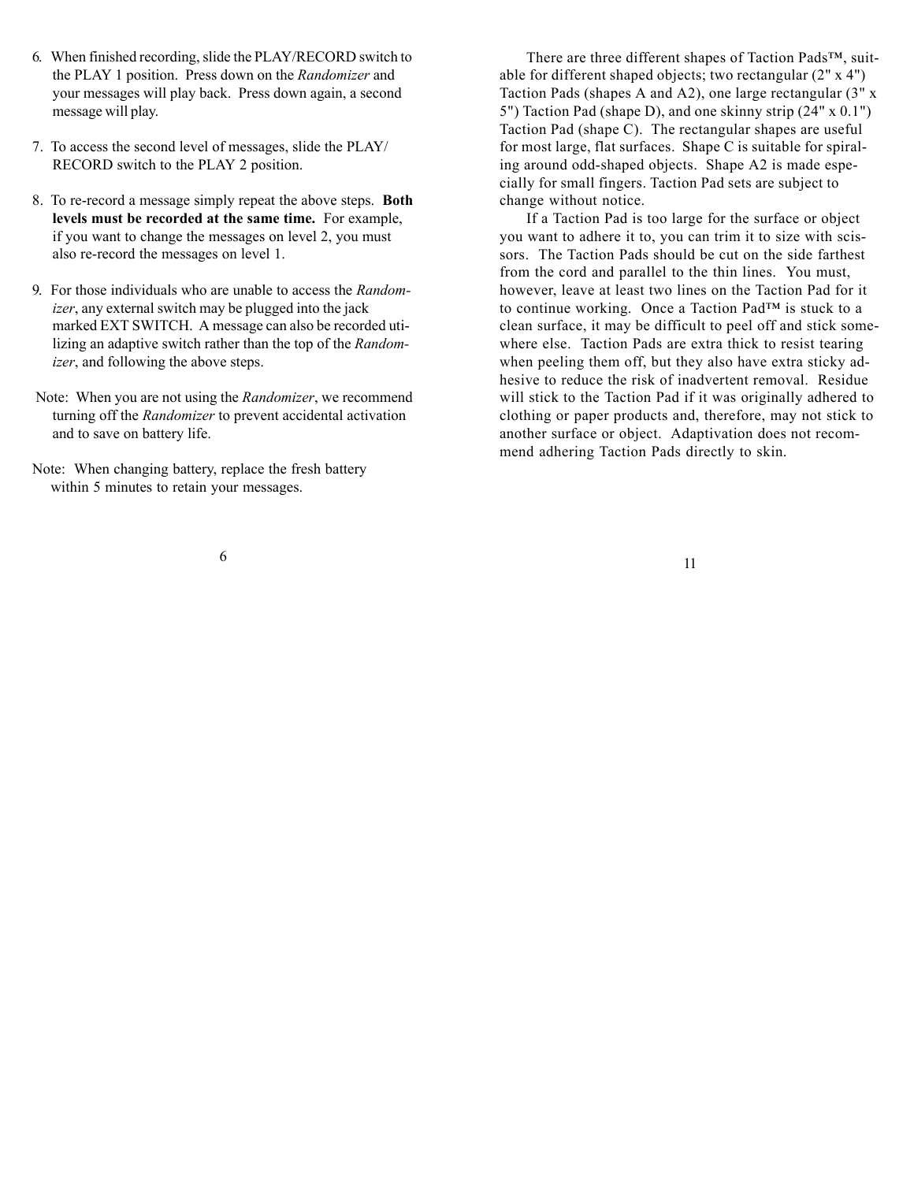- 6. When finished recording, slide the PLAY/RECORD switch to the PLAY 1 position. Press down on the *Randomizer* and your messages will play back. Press down again, a second message will play.
- 7. To access the second level of messages, slide the PLAY/ RECORD switch to the PLAY 2 position.
- 8. To re-record a message simply repeat the above steps. **Both levels must be recorded at the same time.** For example, if you want to change the messages on level 2, you must also re-record the messages on level 1.
- 9. For those individuals who are unable to access the *Randomizer*, any external switch may be plugged into the jack marked EXT SWITCH. A message can also be recorded utilizing an adaptive switch rather than the top of the *Randomizer*, and following the above steps.
- Note: When you are not using the *Randomizer*, we recommend turning off the *Randomizer* to prevent accidental activation and to save on battery life.
- Note: When changing battery, replace the fresh battery within 5 minutes to retain your messages.

There are three different shapes of Taction Pads™, suitable for different shaped objects; two rectangular (2" x 4") Taction Pads (shapes A and A2), one large rectangular (3" x 5") Taction Pad (shape D), and one skinny strip (24" x 0.1") Taction Pad (shape C). The rectangular shapes are useful for most large, flat surfaces. Shape C is suitable for spiraling around odd-shaped objects. Shape A2 is made especially for small fingers. Taction Pad sets are subject to change without notice.

If a Taction Pad is too large for the surface or object you want to adhere it to, you can trim it to size with scissors. The Taction Pads should be cut on the side farthest from the cord and parallel to the thin lines. You must, however, leave at least two lines on the Taction Pad for it to continue working. Once a Taction Pad™ is stuck to a clean surface, it may be difficult to peel off and stick somewhere else. Taction Pads are extra thick to resist tearing when peeling them off, but they also have extra sticky adhesive to reduce the risk of inadvertent removal. Residue will stick to the Taction Pad if it was originally adhered to clothing or paper products and, therefore, may not stick to another surface or object. Adaptivation does not recommend adhering Taction Pads directly to skin.

6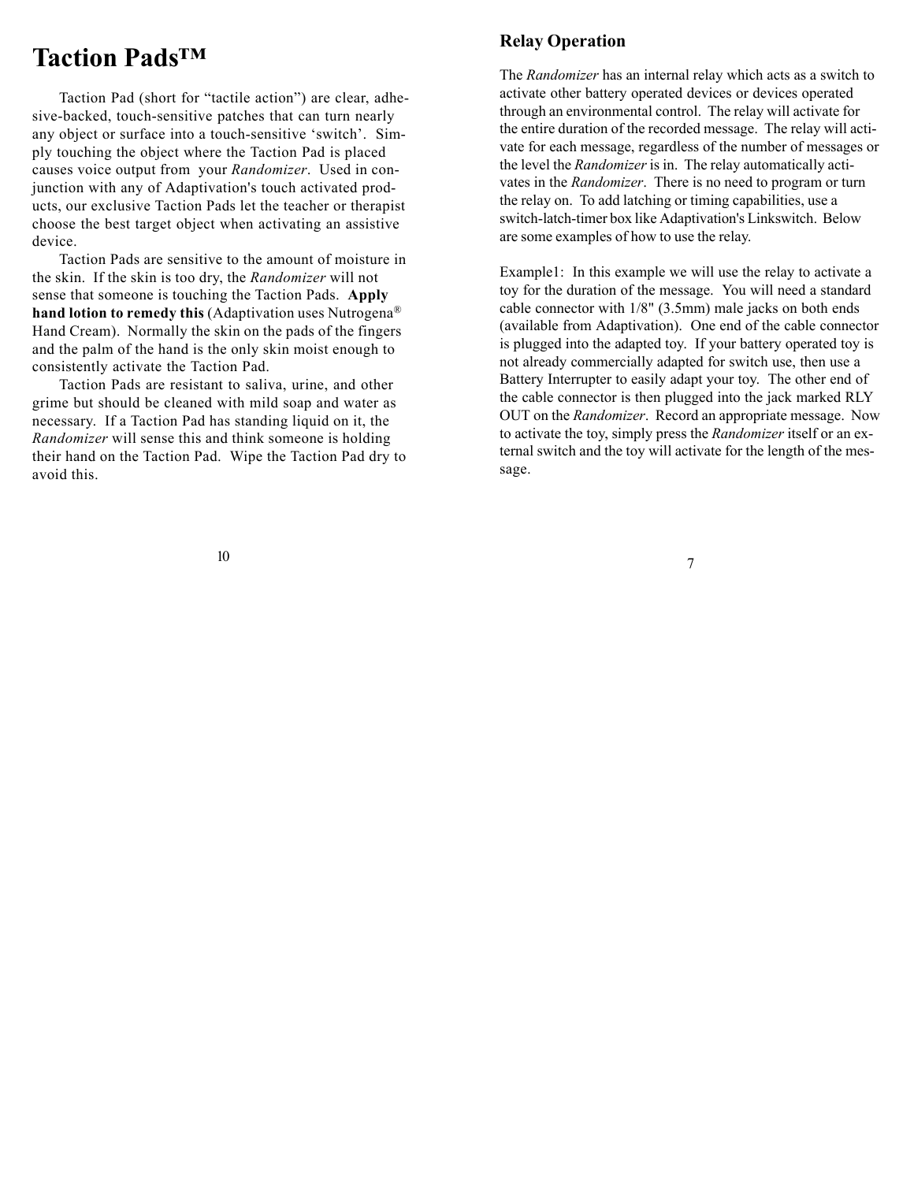### **Taction Pads™**

Taction Pad (short for "tactile action") are clear, adhesive-backed, touch-sensitive patches that can turn nearly any object or surface into a touch-sensitive 'switch'. Simply touching the object where the Taction Pad is placed causes voice output from your *Randomizer*. Used in conjunction with any of Adaptivation's touch activated products, our exclusive Taction Pads let the teacher or therapist choose the best target object when activating an assistive device.

Taction Pads are sensitive to the amount of moisture in the skin. If the skin is too dry, the *Randomizer* will not sense that someone is touching the Taction Pads. **Apply hand lotion to remedy this** (Adaptivation uses Nutrogena® Hand Cream). Normally the skin on the pads of the fingers and the palm of the hand is the only skin moist enough to consistently activate the Taction Pad.

Taction Pads are resistant to saliva, urine, and other grime but should be cleaned with mild soap and water as necessary. If a Taction Pad has standing liquid on it, the *Randomizer* will sense this and think someone is holding their hand on the Taction Pad. Wipe the Taction Pad dry to avoid this.

### **Relay Operation**

The *Randomizer* has an internal relay which acts as a switch to activate other battery operated devices or devices operated through an environmental control. The relay will activate for the entire duration of the recorded message. The relay will activate for each message, regardless of the number of messages or the level the *Randomizer* is in. The relay automatically activates in the *Randomizer*. There is no need to program or turn the relay on. To add latching or timing capabilities, use a switch-latch-timer box like Adaptivation's Linkswitch. Below are some examples of how to use the relay.

Example1: In this example we will use the relay to activate a toy for the duration of the message. You will need a standard cable connector with 1/8" (3.5mm) male jacks on both ends (available from Adaptivation). One end of the cable connector is plugged into the adapted toy. If your battery operated toy is not already commercially adapted for switch use, then use a Battery Interrupter to easily adapt your toy. The other end of the cable connector is then plugged into the jack marked RLY OUT on the *Randomizer*. Record an appropriate message. Now to activate the toy, simply press the *Randomizer* itself or an external switch and the toy will activate for the length of the message.

7